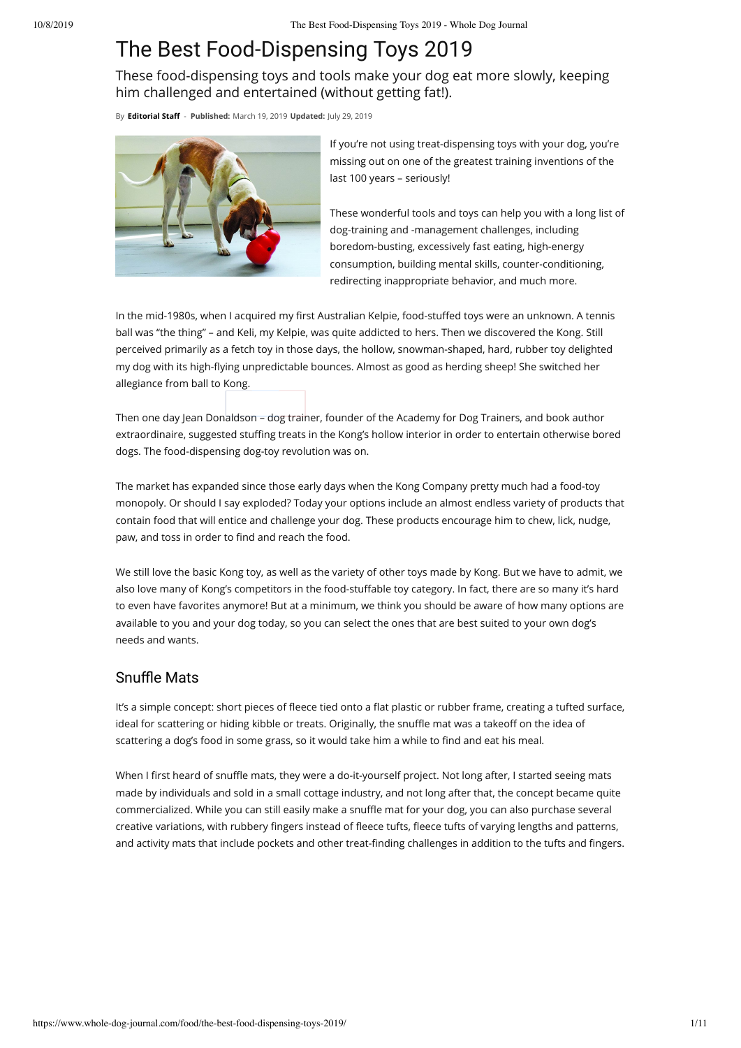# The Best Food-Dispensing Toys 2019

These food-dispensing toys and tools make your dog eat more slowly, keeping him challenged and entertained (without getting fat!).

By **Editorial Staff** - **Published:** March 19, 2019 **Updated:** July 29, 2019



If you're not using treat-dispensing toys with your dog, you're missing out on one of the greatest training inventions of the last 100 years – seriously!

These wonderful tools and toys can help you with a long list of dog-training and -management challenges, including boredom-busting, excessively fast eating, high-energy consumption, building mental skills, counter-conditioning, redirecting inappropriate behavior, and much more.

In the mid-1980s, when I acquired my first Australian Kelpie, food-stuffed toys were an unknown. A tennis ball was "the thing" – and Keli, my Kelpie, was quite addicted to hers. Then we discovered the Kong. Still perceived primarily as a fetch toy in those days, the hollow, snowman-shaped, hard, rubber toy delighted my dog with its high-flying unpredictable bounces. Almost as good as herding sheep! She switched her allegiance from ball to Kong.

Then one day Jean Donaldson – dog trainer, founder of the Academy for Dog Trainers, and book author extraordinaire, suggested stuffing treats in the Kong's hollow interior in order to entertain otherwise bored dogs. The food-dispensing dog-toy revolution was on.

The market has expanded since those early days when the Kong Company pretty much had a food-toy monopoly. Or should I say exploded? Today your options include an almost endless variety of products that contain food that will entice and challenge your dog. These products encourage him to chew, lick, nudge, paw, and toss in order to find and reach the food.

We still love the basic Kong toy, as well as the variety of other toys made by Kong. But we have to admit, we also love many of Kong's competitors in the food-stuffable toy category. In fact, there are so many it's hard to even have favorites anymore! But at a minimum, we think you should be aware of how many options are available to you and your dog today, so you can select the ones that are best suited to your own dog's needs and wants.

# Snuffle Mats

It's a simple concept: short pieces of fleece tied onto a flat plastic or rubber frame, creating a tufted surface, ideal for scattering or hiding kibble or treats. Originally, the snuffle mat was a takeoff on the idea of scattering a dog's food in some grass, so it would take him a while to find and eat his meal.

When I first heard of snuffle mats, they were a do-it-yourself project. Not long after, I started seeing mats made by individuals and sold in a small cottage industry, and not long after that, the concept became quite commercialized. While you can still easily make a snuffle mat for your dog, you can also purchase several creative variations, with rubbery fingers instead of fleece tufts, fleece tufts of varying lengths and patterns, and activity mats that include pockets and other treat-finding challenges in addition to the tufts and fingers.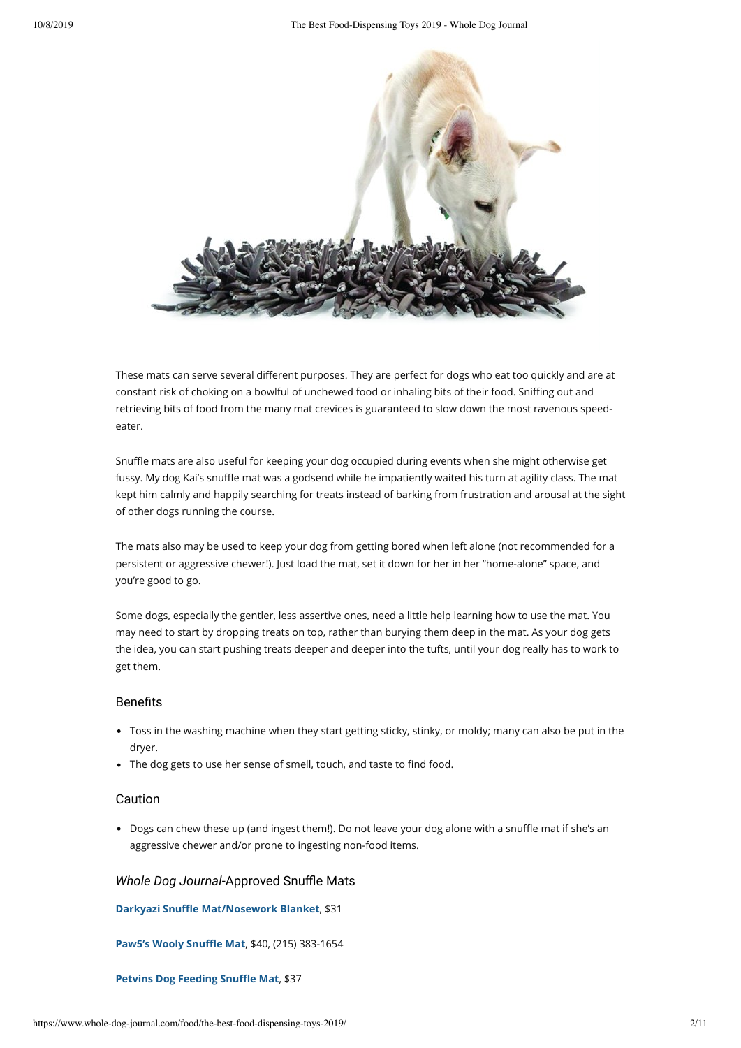

These mats can serve several different purposes. They are perfect for dogs who eat too quickly and are at constant risk of choking on a bowlful of unchewed food or inhaling bits of their food. Sniffing out and retrieving bits of food from the many mat crevices is guaranteed to slow down the most ravenous speedeater.

Snuffle mats are also useful for keeping your dog occupied during events when she might otherwise get fussy. My dog Kai's snuffle mat was a godsend while he impatiently waited his turn at agility class. The mat kept him calmly and happily searching for treats instead of barking from frustration and arousal at the sight of other dogs running the course.

The mats also may be used to keep your dog from getting bored when left alone (not recommended for a persistent or aggressive chewer!). Just load the mat, set it down for her in her "home-alone" space, and you're good to go.

Some dogs, especially the gentler, less assertive ones, need a little help learning how to use the mat. You may need to start by dropping treats on top, rather than burying them deep in the mat. As your dog gets the idea, you can start pushing treats deeper and deeper into the tufts, until your dog really has to work to get them.

### **Benefits**

- Toss in the washing machine when they start getting sticky, stinky, or moldy; many can also be put in the dryer.
- The dog gets to use her sense of smell, touch, and taste to find food.

# Caution

• Dogs can chew these up (and ingest them!). Do not leave your dog alone with a snuffle mat if she's an aggressive chewer and/or prone to ingesting non-food items.

#### *Whole Dog Journal-Approved Snuffle Mats*

**Darkyazi Snuffle Mat/Nosework Blanket, \$31** 

**Paw5's Wooly Snuffle Mat, \$40, (215) 383-1654** 

#### **Petvins Dog Feeding Snuffle Mat, \$37**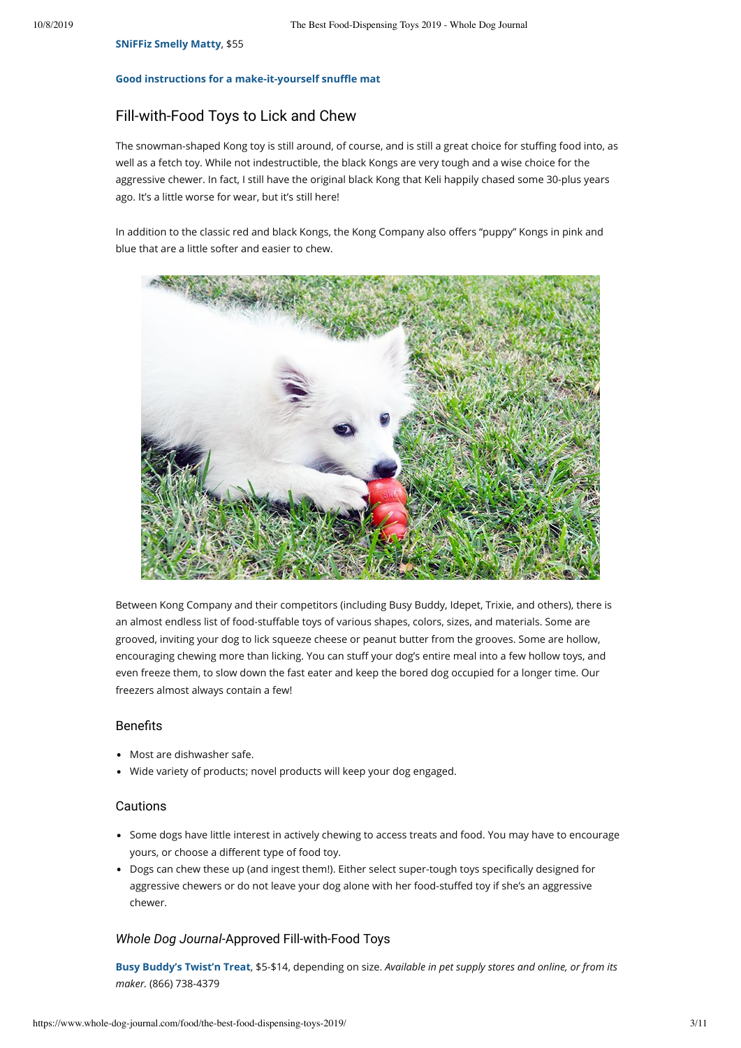#### **SNiFFiz Smelly Matty**, \$55

#### **Good instructions for a make-it-yourself snuffle mat**

# Fill-with-Food Toys to Lick and Chew

The snowman-shaped Kong toy is still around, of course, and is still a great choice for stuffing food into, as well as a fetch toy. While not indestructible, the black Kongs are very tough and a wise choice for the aggressive chewer. In fact, I still have the original black Kong that Keli happily chased some 30-plus years ago. It's a little worse for wear, but it's still here!

In addition to the classic red and black Kongs, the Kong Company also offers "puppy" Kongs in pink and blue that are a little softer and easier to chew.



Between Kong Company and their competitors (including Busy Buddy, Idepet, Trixie, and others), there is an almost endless list of food-stuffable toys of various shapes, colors, sizes, and materials. Some are grooved, inviting your dog to lick squeeze cheese or peanut butter from the grooves. Some are hollow, encouraging chewing more than licking. You can stuff your dog's entire meal into a few hollow toys, and even freeze them, to slow down the fast eater and keep the bored dog occupied for a longer time. Our freezers almost always contain a few!

#### **Benefits**

- Most are dishwasher safe.
- Wide variety of products; novel products will keep your dog engaged.

#### Cautions

- Some dogs have little interest in actively chewing to access treats and food. You may have to encourage yours, or choose a different type of food toy.
- Dogs can chew these up (and ingest them!). Either select super-tough toys specifically designed for aggressive chewers or do not leave your dog alone with her food-stuffed toy if she's an aggressive chewer.

#### *Whole Dog Journal*-Approved Fill-with-Food Toys

**Busy Buddy's Twist'n Treat**, \$5-\$14, depending on size. *Available in pet supply stores and online, or from its maker.* (866) 738-4379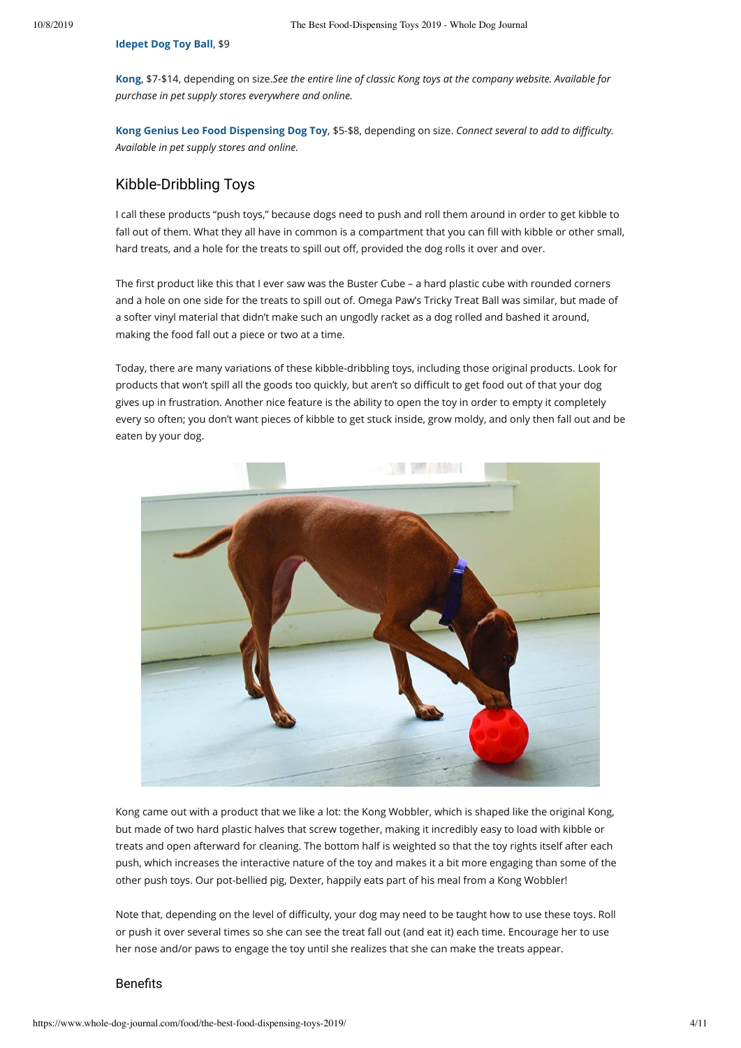**Idepet Dog Toy Ball**, \$9

**Kong**, \$7-\$14, depending on size.*See the entire line of classic Kong toys at the company website. Available for purchase in pet supply stores everywhere and online.*

Kong Genius Leo Food Dispensing Dog Toy, \$5-\$8, depending on size. *Connect several to add to difficulty. Available in pet supply stores and online.*

# Kibble-Dribbling Toys

I call these products "push toys," because dogs need to push and roll them around in order to get kibble to fall out of them. What they all have in common is a compartment that you can fill with kibble or other small, hard treats, and a hole for the treats to spill out off, provided the dog rolls it over and over.

The first product like this that I ever saw was the Buster Cube – a hard plastic cube with rounded corners and a hole on one side for the treats to spill out of. Omega Paw's Tricky Treat Ball was similar, but made of a softer vinyl material that didn't make such an ungodly racket as a dog rolled and bashed it around, making the food fall out a piece or two at a time.

Today, there are many variations of these kibble-dribbling toys, including those original products. Look for products that won't spill all the goods too quickly, but aren't so difficult to get food out of that your dog gives up in frustration. Another nice feature is the ability to open the toy in order to empty it completely every so often; you don't want pieces of kibble to get stuck inside, grow moldy, and only then fall out and be eaten by your dog.



Kong came out with a product that we like a lot: the Kong Wobbler, which is shaped like the original Kong, but made of two hard plastic halves that screw together, making it incredibly easy to load with kibble or treats and open afterward for cleaning. The bottom half is weighted so that the toy rights itself after each push, which increases the interactive nature of the toy and makes it a bit more engaging than some of the other push toys. Our pot-bellied pig, Dexter, happily eats part of his meal from a Kong Wobbler!

Note that, depending on the level of difficulty, your dog may need to be taught how to use these toys. Roll or push it over several times so she can see the treat fall out (and eat it) each time. Encourage her to use her nose and/or paws to engage the toy until she realizes that she can make the treats appear.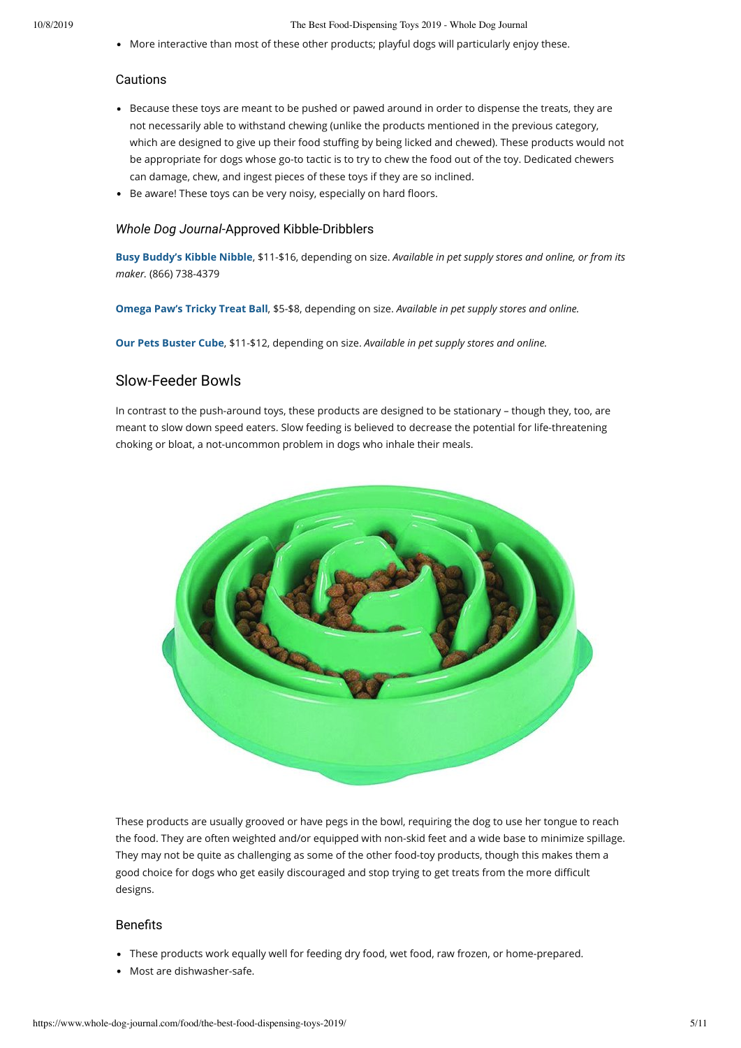10/8/2019 The Best Food-Dispensing Toys 2019 - Whole Dog Journal

More interactive than most of these other products; playful dogs will particularly enjoy these.

### Cautions

- Because these toys are meant to be pushed or pawed around in order to dispense the treats, they are not necessarily able to withstand chewing (unlike the products mentioned in the previous category, which are designed to give up their food stuffing by being licked and chewed). These products would not be appropriate for dogs whose go-to tactic is to try to chew the food out of the toy. Dedicated chewers can damage, chew, and ingest pieces of these toys if they are so inclined.
- Be aware! These toys can be very noisy, especially on hard floors.

#### *Whole Dog Journal*-Approved Kibble-Dribblers

**Busy Buddy's Kibble Nibble**, \$11-\$16, depending on size. *Available in pet supply stores and online, or from its maker.* (866) 738-4379

**Omega Paw's Tricky Treat Ball**, \$5-\$8, depending on size. *Available in pet supply stores and online.*

**Our Pets Buster Cube**, \$11-\$12, depending on size. *Available in pet supply stores and online.*

# Slow-Feeder Bowls

In contrast to the push-around toys, these products are designed to be stationary – though they, too, are meant to slow down speed eaters. Slow feeding is believed to decrease the potential for life-threatening choking or bloat, a not-uncommon problem in dogs who inhale their meals.



These products are usually grooved or have pegs in the bowl, requiring the dog to use her tongue to reach the food. They are often weighted and/or equipped with non-skid feet and a wide base to minimize spillage. They may not be quite as challenging as some of the other food-toy products, though this makes them a good choice for dogs who get easily discouraged and stop trying to get treats from the more difficult designs.

- These products work equally well for feeding dry food, wet food, raw frozen, or home-prepared.
- Most are dishwasher-safe.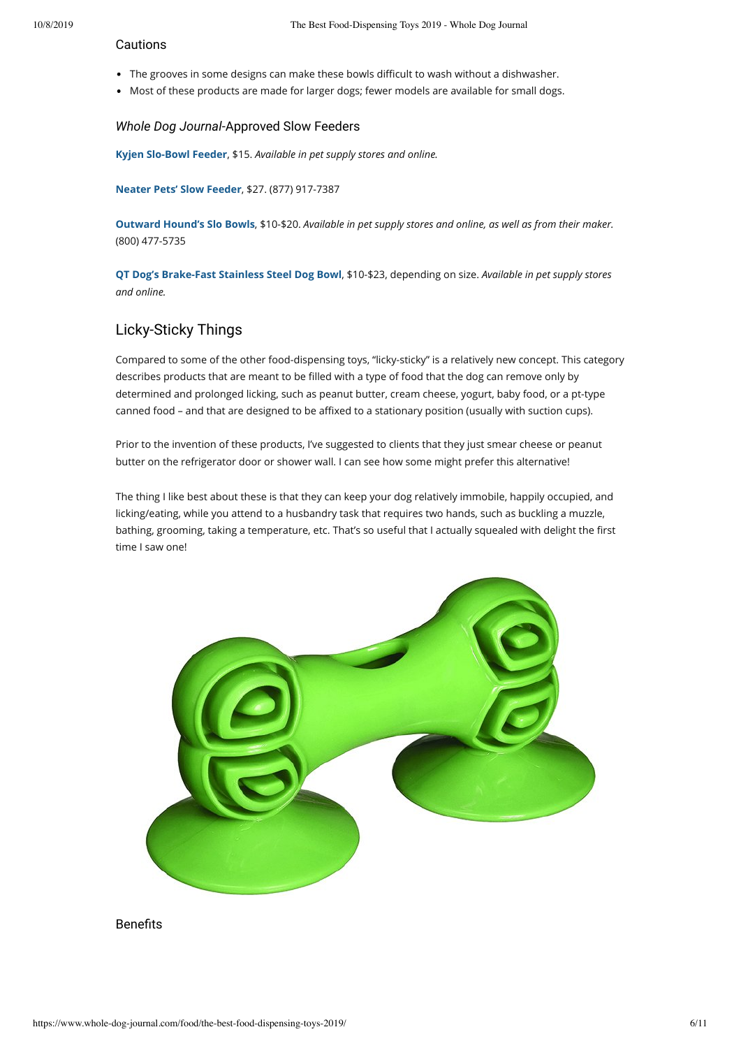#### Cautions

- The grooves in some designs can make these bowls difficult to wash without a dishwasher.
- Most of these products are made for larger dogs; fewer models are available for small dogs.

#### *Whole Dog Journal*-Approved Slow Feeders

**Kyjen Slo-Bowl Feeder**, \$15. *Available in pet supply stores and online.*

**Neater Pets' Slow Feeder**, \$27. (877) 917-7387

**Outward Hound's Slo Bowls**, \$10-\$20. *Available in pet supply stores and online, as well as from their maker.* (800) 477-5735

**QT Dog's Brake-Fast Stainless Steel Dog Bowl**, \$10-\$23, depending on size. *Available in pet supply stores and online.*

# Licky-Sticky Things

Compared to some of the other food-dispensing toys, "licky-sticky" is a relatively new concept. This category describes products that are meant to be filled with a type of food that the dog can remove only by determined and prolonged licking, such as peanut butter, cream cheese, yogurt, baby food, or a pt-type canned food - and that are designed to be affixed to a stationary position (usually with suction cups).

Prior to the invention of these products, I've suggested to clients that they just smear cheese or peanut butter on the refrigerator door or shower wall. I can see how some might prefer this alternative!

The thing I like best about these is that they can keep your dog relatively immobile, happily occupied, and licking/eating, while you attend to a husbandry task that requires two hands, such as buckling a muzzle, bathing, grooming, taking a temperature, etc. That's so useful that I actually squealed with delight the first time I saw one!

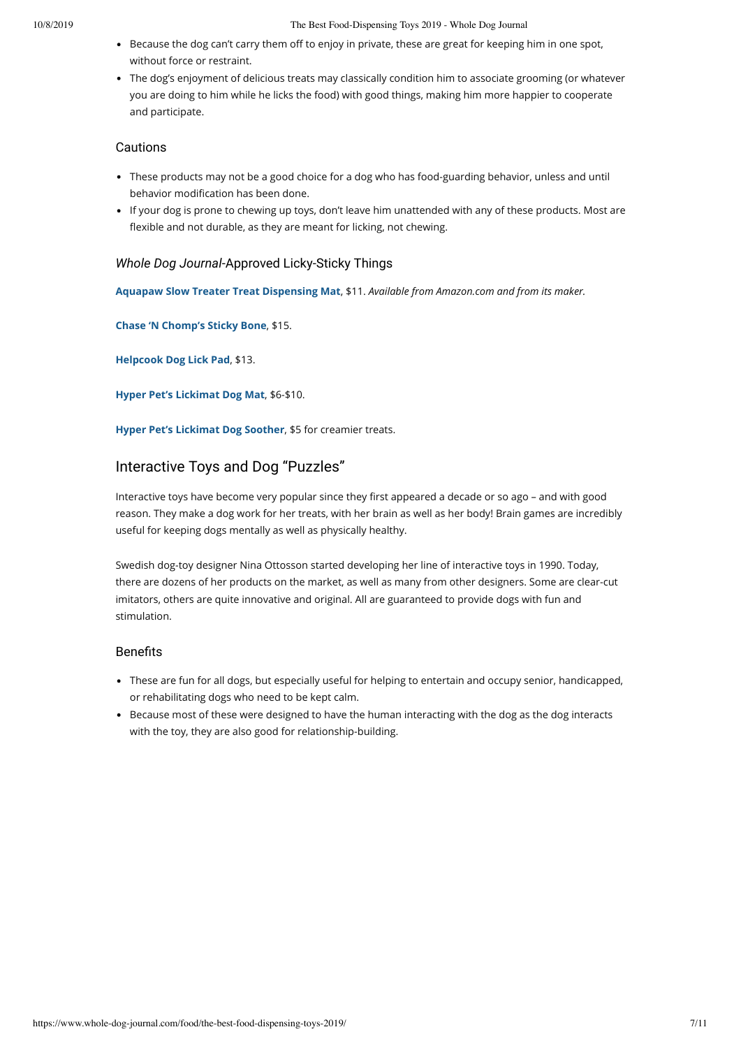- Because the dog can't carry them off to enjoy in private, these are great for keeping him in one spot, without force or restraint.
- The dog's enjoyment of delicious treats may classically condition him to associate grooming (or whatever you are doing to him while he licks the food) with good things, making him more happier to cooperate and participate.

# Cautions

- These products may not be a good choice for a dog who has food-guarding behavior, unless and until behavior modification has been done.
- If your dog is prone to chewing up toys, don't leave him unattended with any of these products. Most are flexible and not durable, as they are meant for licking, not chewing.

# *Whole Dog Journal*-Approved Licky-Sticky Things

**Aquapaw Slow Treater Treat Dispensing Mat**, \$11. *Available from Amazon.com and from its maker.*

**Chase 'N Chomp's Sticky Bone**, \$15.

**Helpcook Dog Lick Pad**, \$13.

**Hyper Pet's Lickimat Dog Mat**, \$6-\$10.

**Hyper Pet's Lickimat Dog Soother**, \$5 for creamier treats.

# Interactive Toys and Dog "Puzzles"

Interactive toys have become very popular since they first appeared a decade or so ago - and with good reason. They make a dog work for her treats, with her brain as well as her body! Brain games are incredibly useful for keeping dogs mentally as well as physically healthy.

Swedish dog-toy designer Nina Ottosson started developing her line of interactive toys in 1990. Today, there are dozens of her products on the market, as well as many from other designers. Some are clear-cut imitators, others are quite innovative and original. All are guaranteed to provide dogs with fun and stimulation.

- These are fun for all dogs, but especially useful for helping to entertain and occupy senior, handicapped, or rehabilitating dogs who need to be kept calm.
- Because most of these were designed to have the human interacting with the dog as the dog interacts with the toy, they are also good for relationship-building.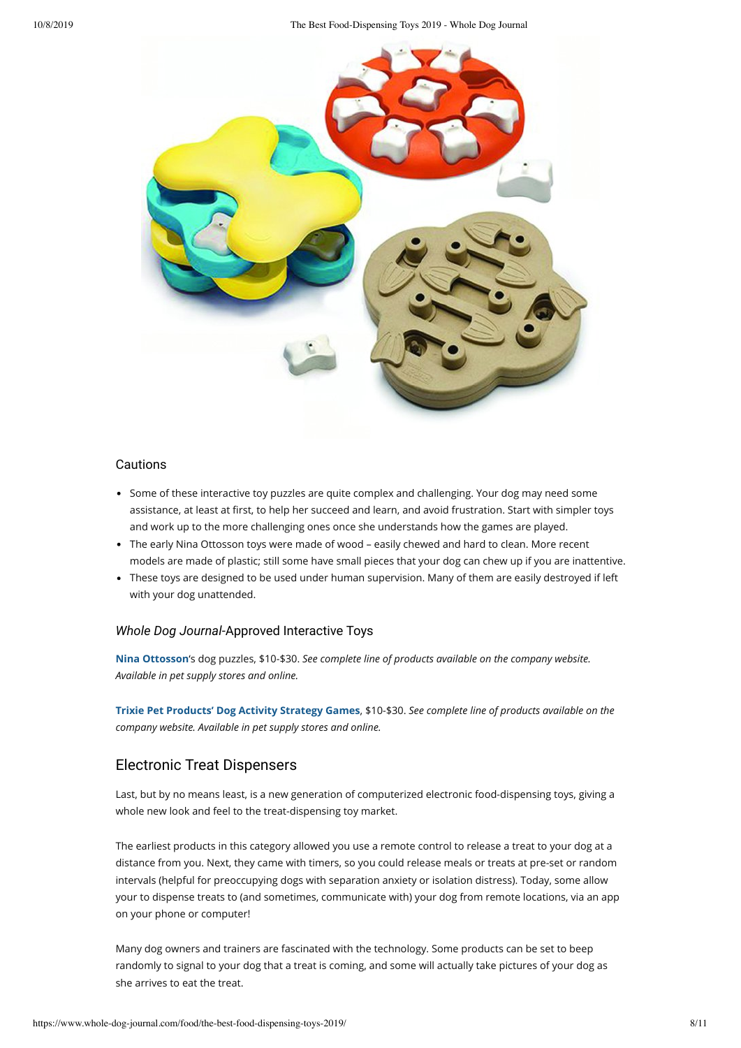10/8/2019 The Best Food-Dispensing Toys 2019 - Whole Dog Journal



### Cautions

- Some of these interactive toy puzzles are quite complex and challenging. Your dog may need some assistance, at least at first, to help her succeed and learn, and avoid frustration. Start with simpler toys and work up to the more challenging ones once she understands how the games are played.
- The early Nina Ottosson toys were made of wood easily chewed and hard to clean. More recent models are made of plastic; still some have small pieces that your dog can chew up if you are inattentive.
- These toys are designed to be used under human supervision. Many of them are easily destroyed if left with your dog unattended.

# *Whole Dog Journal*-Approved Interactive Toys

**Nina Ottosson**'s dog puzzles, \$10-\$30. *See complete line of products available on the company website. Available in pet supply stores and online.*

**Trixie Pet Products' Dog Activity Strategy Games**, \$10-\$30. *See complete line of products available on the company website. Available in pet supply stores and online.*

# Electronic Treat Dispensers

Last, but by no means least, is a new generation of computerized electronic food-dispensing toys, giving a whole new look and feel to the treat-dispensing toy market.

The earliest products in this category allowed you use a remote control to release a treat to your dog at a distance from you. Next, they came with timers, so you could release meals or treats at pre-set or random intervals (helpful for preoccupying dogs with separation anxiety or isolation distress). Today, some allow your to dispense treats to (and sometimes, communicate with) your dog from remote locations, via an app on your phone or computer!

Many dog owners and trainers are fascinated with the technology. Some products can be set to beep randomly to signal to your dog that a treat is coming, and some will actually take pictures of your dog as she arrives to eat the treat.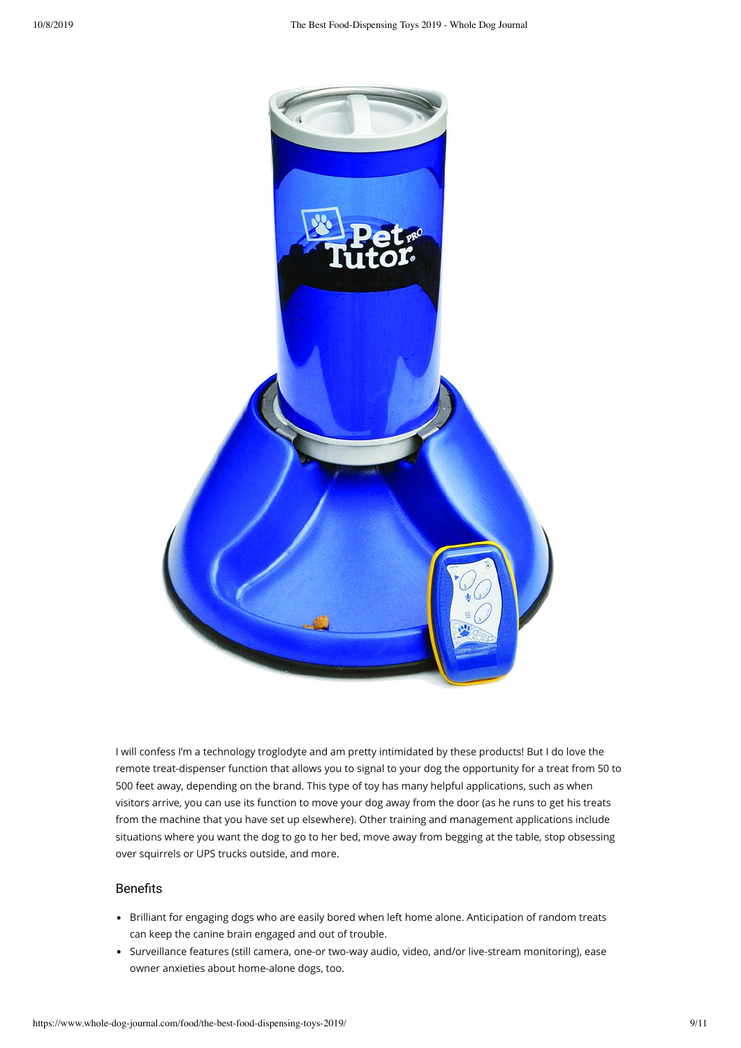

I will confess I'm a technology troglodyte and am pretty intimidated by these products! But I do love the remote treat-dispenser function that allows you to signal to your dog the opportunity for a treat from 50 to 500 feet away, depending on the brand. This type of toy has many helpful applications, such as when visitors arrive, you can use its function to move your dog away from the door (as he runs to get his treats from the machine that you have set up elsewhere). Other training and management applications include situations where you want the dog to go to her bed, move away from begging at the table, stop obsessing over squirrels or UPS trucks outside, and more.

- Brilliant for engaging dogs who are easily bored when left home alone. Anticipation of random treats can keep the canine brain engaged and out of trouble.
- Surveillance features (still camera, one-or two-way audio, video, and/or live-stream monitoring), ease owner anxieties about home-alone dogs, too.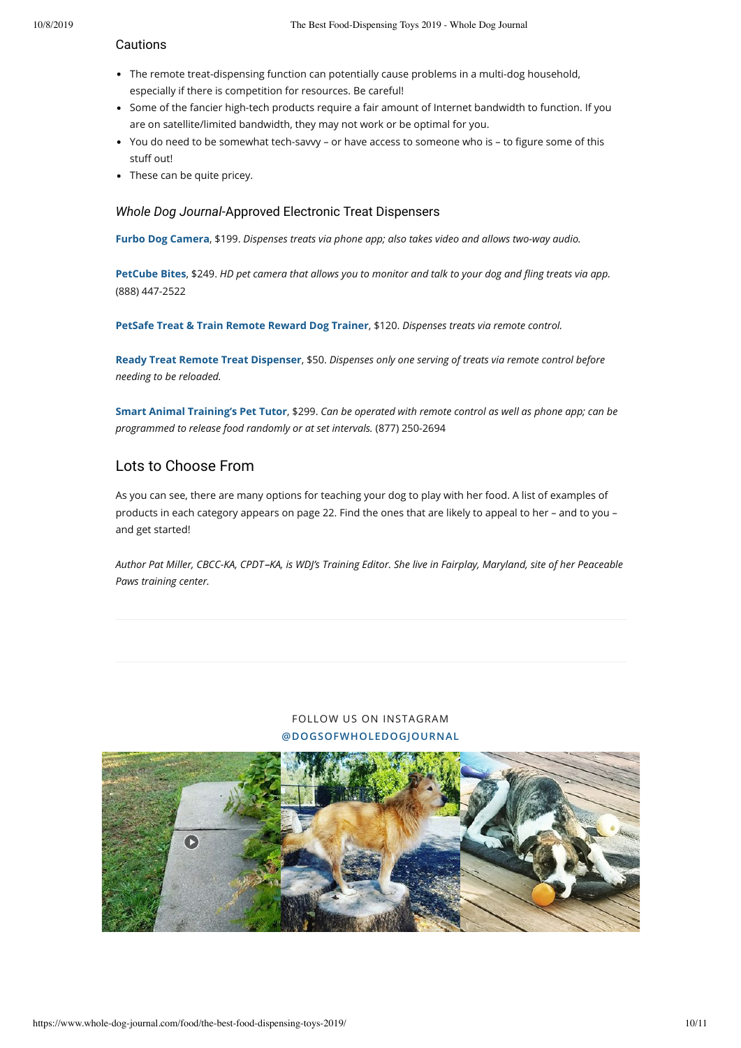#### Cautions

- The remote treat-dispensing function can potentially cause problems in a multi-dog household, especially if there is competition for resources. Be careful!
- Some of the fancier high-tech products require a fair amount of Internet bandwidth to function. If you are on satellite/limited bandwidth, they may not work or be optimal for you.
- You do need to be somewhat tech-savvy or have access to someone who is to figure some of this stuff out!
- These can be quite pricey.

# *Whole Dog Journal*-Approved Electronic Treat Dispensers

**Furbo Dog Camera**, \$199. *Dispenses treats via phone app; also takes video and allows two-way audio.*

**PetCube Bites**, \$249. *HD pet camera that allows you to monitor and talk to your dog and ing treats via app.* (888) 447-2522

**PetSafe Treat & Train Remote Reward Dog Trainer**, \$120. *Dispenses treats via remote control.*

**Ready Treat Remote Treat Dispenser**, \$50. *Dispenses only one serving of treats via remote control before needing to be reloaded.*

**Smart Animal Training's Pet Tutor**, \$299. *Can be operated with remote control as well as phone app; can be programmed to release food randomly or at set intervals.* (877) 250-2694

# Lots to Choose From

As you can see, there are many options for teaching your dog to play with her food. A list of examples of products in each category appears on page 22. Find the ones that are likely to appeal to her – and to you – and get started!

*Author Pat Miller, CBCC-KA, CPDT KA, is WDJ's Training Editor. She live in Fairplay, Maryland, site of her Peaceable Paws training center.*

# FOLLOW US ON INSTAGRAM **@DOGSOFWHOLEDOGJOURNAL**